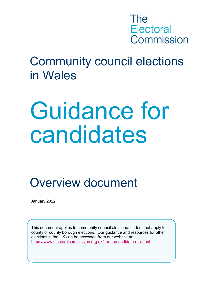

# Community council elections in Wales

# Guidance for candidates

Overview document

January 2022

This document applies to community council elections. It does not apply to county or county borough elections. Our guidance and resources for other elections in the UK can be accessed from our website at: <https://www.electoralcommission.org.uk/i-am-a/candidate-or-agent>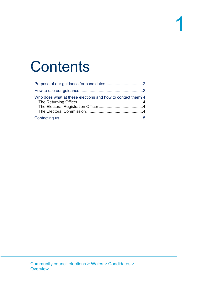# **Contents**

| Who does what at these elections and how to contact them? 4 |  |
|-------------------------------------------------------------|--|
|                                                             |  |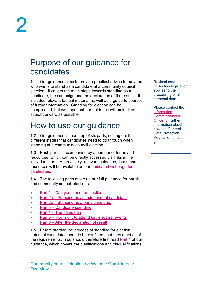## <span id="page-2-0"></span>Purpose of our guidance for candidates

1.1 Our guidance aims to provide practical advice for anyone who wants to stand as a candidate at a community council election. It covers the main steps towards standing as a candidate, the campaign and the declaration of the results. It includes relevant factual material as well as a guide to sources of further information. Standing for election can be complicated, but we hope that our guidance will make it as straightforward as possible.

# <span id="page-2-1"></span>How to use our guidance

1.2 Our guidance is made up of six parts, setting out the different stages that candidates need to go through when standing at a community council election.

1.3 Each part is accompanied by a number of forms and resources, which can be directly accessed via links in the individual parts. Alternatively, relevant guidance, forms and resources will be available on our [dedicated webpage](https://www.electoralcommission.org.uk/i-am-a/candidate-or-agent/community-council-elections-wales) for [candidates.](https://www.electoralcommission.org.uk/i-am-a/candidate-or-agent/community-council-elections-wales)

1.4 The following parts make up our full guidance for parish and community council elections:

- Part  $1 Can$  you stand for election?
- Part 2a [Standing as an independent candidate](https://www.electoralcommission.org.uk/media/2428)
- Part 2b [Standing as a party candidate](https://www.electoralcommission.org.uk/media/2441)
- Part 3 [Candidate spending](https://www.electoralcommission.org.uk/media/7861)
- Part  $4 -$ [The campaign](https://www.electoralcommission.org.uk/media/8763)
- Part 5 [Your right to attend key electoral events](https://www.electoralcommission.org.uk/media/8762)
- Part 6 [After the declaration of result](https://www.electoralcommission.org.uk/media/8761)

1.5 Before starting the process of standing for election potential candidates need to be confident that they meet all of the requirements. You should therefore first read [Part 1](https://www.electoralcommission.org.uk/media/8754) of our guidance, which covers the qualifications and disqualifications. Revised data protection legislation applies to the processing of all personal data.

Please contact the [Information](https://ico.org.uk/for-organisations/guide-to-the-general-data-protection-regulation-gdpr/)  [Commissioner's](https://ico.org.uk/for-organisations/guide-to-the-general-data-protection-regulation-gdpr/)  **[Office](https://ico.org.uk/for-organisations/guide-to-the-general-data-protection-regulation-gdpr/)** for further information about how the General Data Protection Regulation affects you.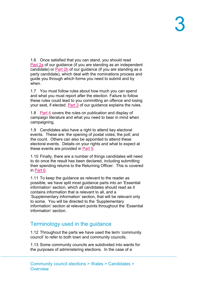1.6 Once satisfied that you can stand, you should read [Part](https://www.electoralcommission.org.uk/media/2428) 2a of our guidance (if you are standing as an independent candidate) or [Part 2b](https://www.electoralcommission.org.uk/media/2441) of our guidance (if you are standing as a party candidate), which deal with the nominations process and guide you through which forms you need to submit and by when.

1.7 You must follow rules about how much you can spend and what you must report after the election. Failure to follow these rules could lead to you committing an offence and losing your seat, if elected. [Part 3](https://www.electoralcommission.org.uk/media/7861) of our guidance explains the rules.

1.8 [Part 4](https://www.electoralcommission.org.uk/media/8763) covers the rules on publication and display of campaign literature and what you need to bear in mind when campaigning.

1.9 Candidates also have a right to attend key electoral events. These are: the opening of postal votes; the poll; and the count. Others can also be appointed to attend these electoral events. Details on your rights and what to expect at these events are provided in [Part 5.](https://www.electoralcommission.org.uk/media/8762)

1.10 Finally, there are a number of things candidates will need to do once the result has been declared, including submitting their spending returns to the Returning Officer. This is covered in [Part 6.](https://www.electoralcommission.org.uk/media/8761)

1.11 To keep the guidance as relevant to the reader as possible, we have split most guidance parts into an 'Essential information' section, which all candidates should read as it contains information that is relevant to all, and a 'Supplementary information' section, that will be relevant only to some. You will be directed to the 'Supplementary information' section at relevant points throughout the 'Essential information' section.

#### Terminology used in the guidance

1.12 Throughout the parts we have used the term 'community council' to refer to both town and community councils.

1.13 Some community councils are subdivided into wards for the purposes of administering elections. In the case of a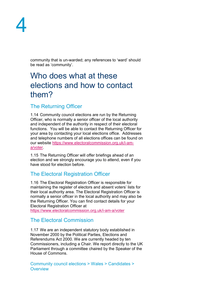

community that is un-warded; any references to 'ward' should be read as 'community'.

## <span id="page-4-0"></span>Who does what at these elections and how to contact them?

#### <span id="page-4-1"></span>The Returning Officer

1.14 Community council elections are run by the Returning Officer, who is normally a senior officer of the local authority and independent of the authority in respect of their electoral functions. You will be able to contact the Returning Officer for your area by contacting your local elections office. Addresses and telephone numbers of all elections offices can be found on our website [https://www.electoralcommission.org.uk/i-am](https://www.electoralcommission.org.uk/i-am-a/voter)[a/voter.](https://www.electoralcommission.org.uk/i-am-a/voter)

1.15 The Returning Officer will offer briefings ahead of an election and we strongly encourage you to attend, even if you have stood for election before.

#### <span id="page-4-2"></span>The Electoral Registration Officer

1.16 The Electoral Registration Officer is responsible for maintaining the register of electors and absent voters' lists for their local authority area. The Electoral Registration Officer is normally a senior officer in the local authority and may also be the Returning Officer. You can find contact details for your Electoral Registration Officer at <https://www.electoralcommission.org.uk/i-am-a/voter>

#### <span id="page-4-3"></span>The Electoral Commission

1.17 We are an independent statutory body established in November 2000 by the Political Parties, Elections and Referendums Act 2000. We are currently headed by ten Commissioners, including a Chair. We report directly to the UK Parliament through a committee chaired by the Speaker of the House of Commons.

Community council elections > Wales > Candidates > **Overview**